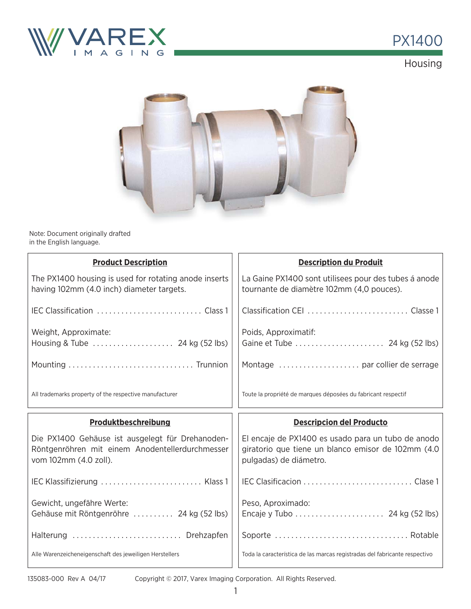

## PX1400

Housing



Note: Document originally drafted in the English language.

| <b>Product Description</b>                                                                                                   | <b>Description du Produit</b>                                                                                                      |
|------------------------------------------------------------------------------------------------------------------------------|------------------------------------------------------------------------------------------------------------------------------------|
| The PX1400 housing is used for rotating anode inserts<br>having 102mm (4.0 inch) diameter targets.                           | La Gaine PX1400 sont utilisees pour des tubes á anode<br>tournante de diamètre 102mm (4,0 pouces).                                 |
|                                                                                                                              | Classification CEI  Classe 1                                                                                                       |
| Weight, Approximate:<br>Housing & Tube  24 kg (52 lbs)                                                                       | Poids, Approximatif:                                                                                                               |
|                                                                                                                              |                                                                                                                                    |
| All trademarks property of the respective manufacturer                                                                       | Toute la propriété de marques déposées du fabricant respectif                                                                      |
|                                                                                                                              |                                                                                                                                    |
| Produktbeschreibung                                                                                                          | <b>Descripcion del Producto</b>                                                                                                    |
| Die PX1400 Gehäuse ist ausgelegt für Drehanoden-<br>Röntgenröhren mit einem Anodentellerdurchmesser<br>vom 102mm (4.0 zoll). | El encaje de PX1400 es usado para un tubo de anodo<br>giratorio que tiene un blanco emisor de 102mm (4.0<br>pulgadas) de diámetro. |
| IEC Klassifizierung  Klass 1                                                                                                 |                                                                                                                                    |
| Gewicht, ungefähre Werte:<br>Gehäuse mit Röntgenröhre  24 kg (52 lbs)                                                        | Peso, Aproximado:                                                                                                                  |
| Halterung  Drehzapfen                                                                                                        |                                                                                                                                    |

Copyright © 2017, Varex Imaging Corporation. All Rights Reserved.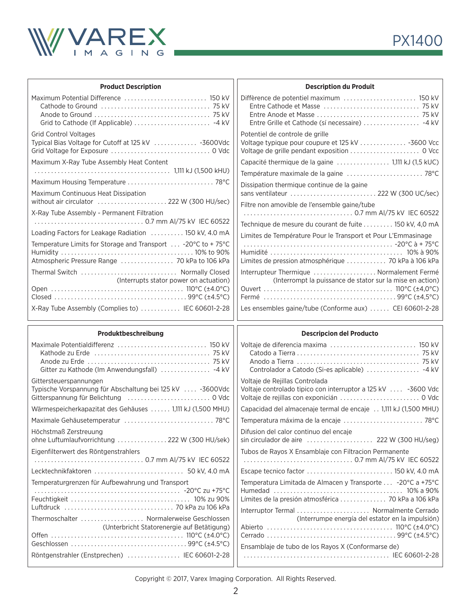

Lecktechnikfaktoren . . . . . . . . . . . . . . . . . . . . . . . . . . . 50 kV, 4.0 mA

 . . . . . . . . . . . . . . . . . . . . . . . . . . . . . . . . . . . . . . . . . . . . -20°C zu +75°C Feuchtigkeit . . . . . . . . . . . . . . . . . . . . . . . . . . . . . . . . . . . . 10% zu 90% Luftdruck . . . . . . . . . . . . . . . . . . . . . . . . . . . . . . . . . 70 kPa zu 106 kPa Thermoschalter . . . . . . . . . . . . . . . . . . . Normalerweise Geschlossen

Off en . . . . . . . . . . . . . . . . . . . . . . . . . . . . . . . . . . . . . . . . 110°C (±4.0°C) Geschlossen . . . . . . . . . . . . . . . . . . . . . . . . . . . . . . . . . . . 99°C (±4.5°C) Röntgenstrahler (Enstprechen) . . . . . . . . . . . . . . . . IEC 60601-2-28

(Unterbricht Statorenergie auf Betätigung)

Temperaturgrenzen für Aufbewahrung und Transport

| <b>Product Description</b>                                               | <b>Description du Produit</b>                                                      |  |  |  |
|--------------------------------------------------------------------------|------------------------------------------------------------------------------------|--|--|--|
| Maximum Potential Difference  150 kV                                     | Diffèrence de potentiel maximum  150 kV                                            |  |  |  |
|                                                                          |                                                                                    |  |  |  |
|                                                                          |                                                                                    |  |  |  |
|                                                                          | Entre Grille et Cathode (sí necessaire)  -4 kV                                     |  |  |  |
| <b>Grid Control Voltages</b>                                             | Potentiel de controle de grille                                                    |  |  |  |
| Typical Bias Voltage for Cutoff at 125 kV  -3600Vdc                      |                                                                                    |  |  |  |
|                                                                          |                                                                                    |  |  |  |
| Maximum X-Ray Tube Assembly Heat Content                                 |                                                                                    |  |  |  |
| Maximum Housing Temperature  78°C<br>Maximum Continuous Heat Dissipation | Dissipation thermique continue de la gaine<br>sans ventilateur  222 W (300 UC/sec) |  |  |  |
| without air circulator  222 W (300 HU/sec)                               | Filtre non amovible de l'ensemble gaine/tube                                       |  |  |  |
| X-Ray Tube Assembly - Permanent Filtration                               |                                                                                    |  |  |  |
|                                                                          | Technique de mesure du courant de fuite 150 kV, 4,0 mA                             |  |  |  |
| Loading Factors for Leakage Radiation  150 kV, 4.0 mA                    | Limites de Température Pour le Transport et Pour L'Emmasinage                      |  |  |  |
| Temperature Limits for Storage and Transport  -20°C to +75°C             |                                                                                    |  |  |  |
|                                                                          |                                                                                    |  |  |  |
| Atmospheric Pressure Range  70 kPa to 106 kPa                            | Limites de pression atmosphérique  70 kPa à 106 kPa                                |  |  |  |
| Thermal Switch  Normally Closed                                          | Interrupteur Thermique  Normalement Fermé                                          |  |  |  |
| (Interrupts stator power on actuation)                                   | (Interrompt la puissance de stator sur la mise en action)                          |  |  |  |
|                                                                          |                                                                                    |  |  |  |
|                                                                          |                                                                                    |  |  |  |
| X-Ray Tube Assembly (Complies to)  IEC 60601-2-28                        | Les ensembles gaine/tube (Conforme aux)  CEI 60601-2-28                            |  |  |  |
| Produktbeschreibung                                                      | <b>Descripcion del Producto</b>                                                    |  |  |  |
| Maximale Potentialdifferenz  150 kV                                      | Voltaje de diferencia maxima  150 kV                                               |  |  |  |
|                                                                          |                                                                                    |  |  |  |
|                                                                          |                                                                                    |  |  |  |
| Gitter zu Kathode (Im Anwendungsfall)  -4 kV                             |                                                                                    |  |  |  |
| Gittersteuerspannungen                                                   | Voltaje de Rejillas Controlada                                                     |  |  |  |
| Typische Vorspannung für Abschaltung bei 125 kV  -3600Vdc                | Voltaje controlado tipico con interruptor a 125 kV  -3600 Vdc                      |  |  |  |
|                                                                          |                                                                                    |  |  |  |
| Wärmespeicherkapazitat des Gehäuses  1,111 kJ (1,500 MHU)                | Capacidad del almacenaje termal de encaje 1,111 kJ (1,500 MHU)                     |  |  |  |
|                                                                          |                                                                                    |  |  |  |
| Höchstmaß Zerstreuung                                                    | Difusion del calor continuo del encaje                                             |  |  |  |
| ohne Luftumlaufvorrichtung  222 W (300 HU/sek)                           |                                                                                    |  |  |  |
| Eigenfilterwert des Röntgenstrahlers                                     | Tubos de Rayos X Ensamblaje con Filtracion Permanente                              |  |  |  |
|                                                                          |                                                                                    |  |  |  |

Copyright © 2017, Varex Imaging Corporation. All Rights Reserved.

Escape tecnico factor . . . . . . . . . . . . . . . . . . . . . . . . . . 150 kV, 4.0 mA Temperatura Limitada de Almacen y Transporte . . . -20°C a +75°C Humedad . . . . . . . . . . . . . . . . . . . . . . . . . . . . . . . . . . . . . . . 10% a 90% Límites de la presión atmosférica . . . . . . . . . . . . . . 70 kPa a 106 kPa Interruptor Termal . . . . . . . . . . . . . . . . . . . . . . Normalmente Cerrado

Abierto . . . . . . . . . . . . . . . . . . . . . . . . . . . . . . . . . . . . . . 110°C (±4.0°C) Cerrado . . . . . . . . . . . . . . . . . . . . . . . . . . . . . . . . . . . . . . . 99°C (±4.5°C)

. . . . . . . . . . . . . . . . . . . . . . . . . . . . . . . . . . . . . . . . . . . . IEC 60601-2-28

Ensamblaje de tubo de los Rayos X (Conformarse de)

(Interrumpe energía del estator en la impulsión)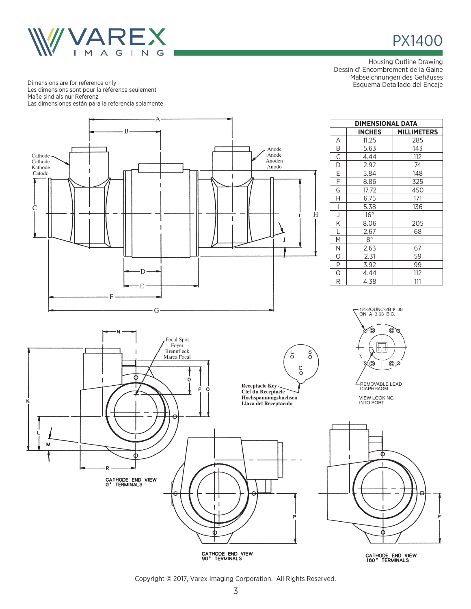

Esquema Detallado del Encaje Dimensions are for reference only Les dimensions sont pour la référence seulement Maße sind als nur Referenz Las dimensiones están para la referencia solamente



CATHODE END VIEW<br>90° TERMINALS

CATHODE END VIEW<br>180° TERMINALS

Housing Outline Drawing Dessin d' Encombrement de la Gaine Mabseichnungen des Gehäuses

PX1400

Copyright © 2017, Varex Imaging Corporation. All Rights Reserved.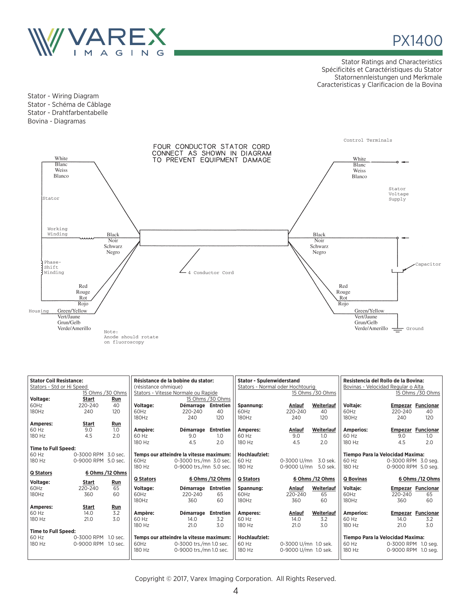



Stator Ratings and Characteristics Spécificités et Caractéristiques du Stator Statornennleistungen und Merkmale Caracteristicas y Clarificacion de la Bovina

Stator - Wiring Diagram Stator - Schéma de Câblage Stator - Drahtfarbentabelle Bovina - Diagramas



|                            | <b>Stator Coil Resistance:</b><br>Résistance de la bobine du stator:<br>Stators - Std or Hi Speed<br>(résistance ohmique) |                 | <b>Stator - Spulenwiderstand</b><br>Stators - Normal oder Hochtourig |                         | Resistencia del Rollo de la Bovina:<br>Bovinas - Velocidad Regular o Alta |                  |                      |                                  |                  |                                  |                          |  |
|----------------------------|---------------------------------------------------------------------------------------------------------------------------|-----------------|----------------------------------------------------------------------|-------------------------|---------------------------------------------------------------------------|------------------|----------------------|----------------------------------|------------------|----------------------------------|--------------------------|--|
|                            | 15 Ohms /30 Ohms                                                                                                          |                 | Stators - Vitesse Normale ou Rapide                                  |                         |                                                                           |                  | 15 Ohms /30 Ohms     |                                  |                  | 15 Ohms / 30 Ohms                |                          |  |
| Voltage:                   | Start                                                                                                                     | Run             | 15 Ohms / 30 Ohms                                                    |                         |                                                                           |                  |                      |                                  |                  |                                  |                          |  |
| 60Hz                       | 220-240                                                                                                                   | 40              | Voltage:                                                             | Démarrage               | Entretien                                                                 | Spannung:        | Anlauf               | Weiterlauf                       | <b>Voltaie:</b>  |                                  | <b>Empezar Funcionar</b> |  |
| 180Hz                      | 240                                                                                                                       | 120             | 60Hz                                                                 | 220-240                 | 40                                                                        | 60Hz             | 220-240              | 40                               | 60Hz             | 220-240                          | 40                       |  |
|                            |                                                                                                                           |                 | 180Hz                                                                | 240                     | 120                                                                       | 180Hz            | 240                  | 120                              | 180Hz            | 240                              | 120                      |  |
| Amperes:                   | <b>Start</b>                                                                                                              | Run             |                                                                      |                         |                                                                           |                  |                      |                                  |                  |                                  |                          |  |
| 60 Hz                      | 9.0                                                                                                                       | 1.0             | Ampère:                                                              | Démarrage               | Entretien                                                                 | Amperes:         | Anlauf               | Weiterlauf                       | Amperios:        |                                  | <b>Empezar Funcionar</b> |  |
| 180 Hz                     | 4.5                                                                                                                       | 2.0             | 60 Hz                                                                | 9.0                     | 1.0                                                                       | 60 Hz            | 9.0                  | 1.0                              | 60 Hz            | 9.0                              | 1.0                      |  |
|                            |                                                                                                                           |                 | 180 Hz                                                               | 4.5                     | 2.0                                                                       | 180 Hz           | 4.5                  | 2.0                              | 180 Hz           | 4.5                              | 2.0                      |  |
| <b>Time to Full Speed:</b> |                                                                                                                           |                 |                                                                      |                         |                                                                           |                  |                      |                                  |                  |                                  |                          |  |
| 60 Hz                      | 0-3000 RPM 3.0 sec.                                                                                                       |                 | Temps our atteindre la vitesse maximum:                              |                         |                                                                           | Hochlaufziet:    |                      |                                  |                  | Tiempo Para la Velocidad Maxima: |                          |  |
| 180 Hz                     | 0-9000 RPM 5.0 sec.                                                                                                       |                 | 60Hz                                                                 | 0-3000 trs./mn 3.0 sec. |                                                                           | 60 Hz            | 0-3000 U/mn 3.0 sek. |                                  | 60 Hz            | 0-3000 RPM 3.0 seg.              |                          |  |
|                            |                                                                                                                           |                 | 180 Hz                                                               | 0-9000 trs./mn 5.0 sec. |                                                                           | 180 Hz           | 0-9000 U/mn 5.0 sek. |                                  | 180 Hz           | 0-9000 RPM 5.0 seg.              |                          |  |
| <b>Q Stators</b>           |                                                                                                                           | 6 Ohms /12 Ohms |                                                                      |                         |                                                                           |                  |                      |                                  |                  |                                  |                          |  |
| Voltage:                   | <b>Start</b>                                                                                                              | Run             | Q Stators                                                            |                         | 6 Ohms /12 Ohms                                                           | <b>Q Stators</b> |                      | 6 Ohms /12 Ohms                  | <b>Q</b> Bovinas |                                  | 6 Ohms /12 Ohms          |  |
| 60Hz                       | 220-240                                                                                                                   | 65              | Voltage:                                                             | <b>Démarrage</b>        | Entretien                                                                 | Spannung:        | Anlauf               | Weiterlauf                       | Voltaje:         |                                  | <b>Empezar Funcionar</b> |  |
| 180Hz                      | 360                                                                                                                       | 60              | 60Hz                                                                 | 220-240                 | 65                                                                        | 60Hz             | 220-240              | 65                               | 60Hz             | 220-240                          | 65                       |  |
|                            |                                                                                                                           |                 | 180Hz                                                                | 360                     | 60                                                                        | 180Hz            | 360                  | 60                               | 180Hz            | 360                              | 60                       |  |
| Amperes:                   | <b>Start</b>                                                                                                              | Run             |                                                                      |                         |                                                                           |                  |                      |                                  |                  |                                  |                          |  |
| 60 Hz                      | 14.0                                                                                                                      | 3.2             | Ampère:                                                              | <b>Démarrage</b>        | Entretien                                                                 | Amperes:         | Anlauf               | Weiterlauf                       | Amperios:        | <b>Empezar</b>                   | <b>Funcionar</b>         |  |
| 180 Hz                     | 21.0                                                                                                                      | 3.0             | 60 Hz                                                                | 14.0                    | 3.2                                                                       | 60 Hz            | 14.0                 | 3.2                              | 60 Hz            | 14.0                             | 3.2                      |  |
|                            |                                                                                                                           |                 | 180 Hz                                                               | 21.0                    | 3.0                                                                       | 180 Hz           | 21.0                 | 3.0                              | 180 Hz           | 21.0                             | 3.0                      |  |
| <b>Time to Full Speed:</b> |                                                                                                                           |                 |                                                                      |                         |                                                                           |                  |                      |                                  |                  |                                  |                          |  |
| 60 Hz                      | 0-3000 RPM 1.0 sec.                                                                                                       |                 | Temps our atteindre la vitesse maximum:                              |                         | <b>Hochlaufziet:</b>                                                      |                  |                      | Tiempo Para la Velocidad Maxima: |                  |                                  |                          |  |
| 180 Hz                     | 0-9000 RPM 1.0 sec.                                                                                                       |                 | 60Hz                                                                 | 0-3000 trs./mn 1.0 sec. |                                                                           | 60 Hz            | 0-3000 U/mn 1.0 sek. |                                  | 60 Hz            | 0-3000 RPM 1.0 sea.              |                          |  |
|                            |                                                                                                                           |                 | 180 Hz                                                               | 0-9000 trs./mn 1.0 sec. |                                                                           | 180 Hz           | 0-9000 U/mn 1.0 sek. |                                  | 180 Hz           | 0-9000 RPM 1.0 seg.              |                          |  |
|                            |                                                                                                                           |                 |                                                                      |                         |                                                                           |                  |                      |                                  |                  |                                  |                          |  |

Copyright © 2017, Varex Imaging Corporation. All Rights Reserved.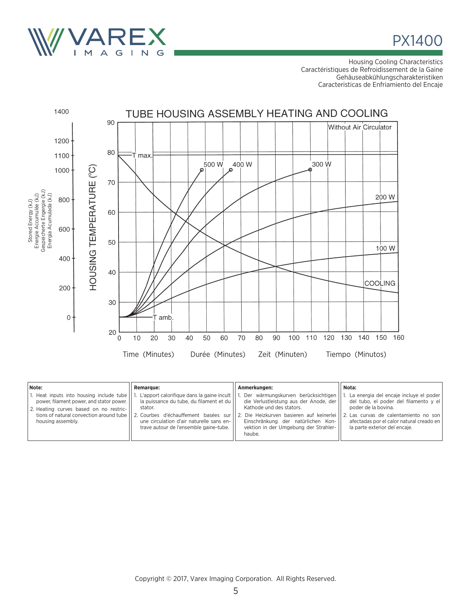



Housing Cooling Characteristics Caractéristiques de Refroidissement de la Gaine Gehäuseabkühlungscharakteristiken Caracteristicas de Enfriamiento del Encaje



| Note:                                                                                                                                                        | <b>Remarque:</b>                                                                                                                                                                                                                                                         | Anmerkungen:                                                                                                                                                                                                                                     | Nota:                                                                                                                                                                                                                              |
|--------------------------------------------------------------------------------------------------------------------------------------------------------------|--------------------------------------------------------------------------------------------------------------------------------------------------------------------------------------------------------------------------------------------------------------------------|--------------------------------------------------------------------------------------------------------------------------------------------------------------------------------------------------------------------------------------------------|------------------------------------------------------------------------------------------------------------------------------------------------------------------------------------------------------------------------------------|
| 1. Heat inputs into housing include tube    1.<br>power, filament power, and stator power.   <br>2. Heating curves based on no restric-<br>housing assembly. | L'apport calorifique dans la gaine incult<br>la puissance du tube, du filament et du<br>stator.<br>tions of natural convection around tube 11 2. Courbes d'échauffement basées sur<br>une circulation d'air naturelle sans en-<br>trave autour de l'ensemble gaine-tube. | 1. Der wärmungskurven berücksichtigen<br>die Verlustleistung aus der Anode, der<br>Kathode und des stators.<br>2. Die Heizkurven basieren auf keinerlei<br>Einschränkung der natürlichen Kon-<br>vektion in der Umgebung der Strahler-<br>haube. | . La energia del encaje incluye el poder  <br>del tubo, el poder del filamento y el<br>poder de la bovina.<br>2. Las curvas de calentamiento no son<br>afectadas por el calor natural creado en  <br>la parte exterior del encaje. |